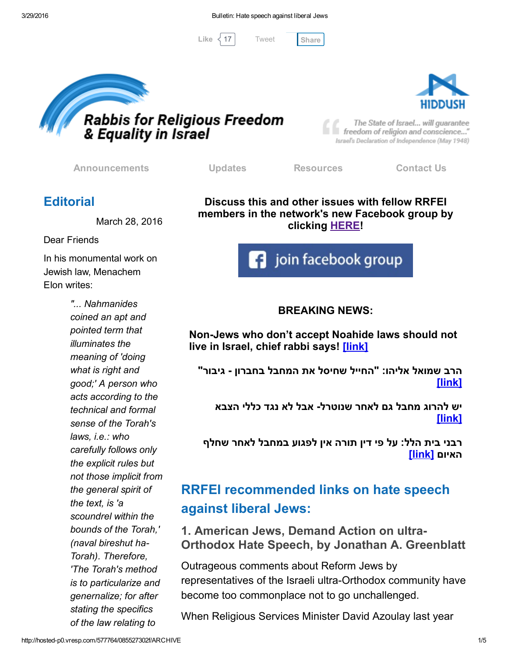[Tweet](https://twitter.com/intent/tweet?original_referer=http%3A%2F%2Fhosted-p0.vresp.com%2F577764%2F085527302f%2FARCHIVE&ref_src=twsrc%5Etfw&text=Bulletin%3A%20Hate%20speech%20against%20liberal%20Jews%3A&tw_p=tweetbutton&url=http%3A%2F%2Fhosted-p0.vresp.com%2F577764%2F085527302f%2FARCHIVE%23.VvphuU18F0I.twitter)

Like  $\langle 17 \rangle$  Tweet [Share](javascript:void(0);)





The State of Israel... will guarantee freedom of religion and conscience..." Israel's Declaration of Independence (May 1948)

[Announcements](http://rrfei.org/announcements/) [Updates](http://rrfei.org/about/rrfei-updates/) [Resources](http://rrfei.org/resources/) [Contact](http://rrfei.org/contact-us/) Us

### **Editorial**

March 28, 2016

Dear Friends

In his monumental work on Jewish law, Menachem Elon writes:

> *"... Nahmanides coined an apt and pointed term that illuminates the meaning of 'doing what is right and good;' A person who acts according to the technical and formal sense of the Torah's laws, i.e.: who carefully follows only the explicit rules but not those implicit from the general spirit of the text, is 'a scoundrel within the bounds of the Torah,' (naval bireshut ha-Torah). Therefore, 'The Torah's method is to particularize and genernalize; for after stating the specifics of the law relating to*

Discuss this and other issues with fellow RRFEI members in the network's new Facebook group by clicking **[HERE!](https://www.facebook.com/groups/132239560451232/)** 



#### BREAKING NEWS:

Non-Jews who don't accept Noahide laws should not live in Israel, chief rabbi says! [\[link\]](http://www.jta.org/2016/03/28/news-opinion/israel-middle-east/non-jews-who-dont-accept-noahide-laws-should-not-live-in-israel-chief-rabbi-says)

הרב שמואל אליהו: "החייל שחיסל את המחבל בחברון גיבור" [\[link\]](http://www.kikar.co.il/195960.html)

יש להרוג מחבל גם לאחר שנוטרל אבל לא נגד כללי הצבא [\[link\]](http://www.kipa.co.il/now/67042.html)

רבני בית הלל: על פי דין תורה אין לפגוע במחבל לאחר שחלף האיום [\[link\[](http://www.kipa.co.il/now/67040.html)

# RRFEI recommended links on hate speech against liberal Jews:

1. American Jews, Demand Action on ultra-Orthodox Hate Speech, by Jonathan A. Greenblatt

Outrageous comments about Reform Jews by representatives of the Israeli ultra-Orthodox community have become too commonplace not to go unchallenged.

When Religious Services Minister David Azoulay last year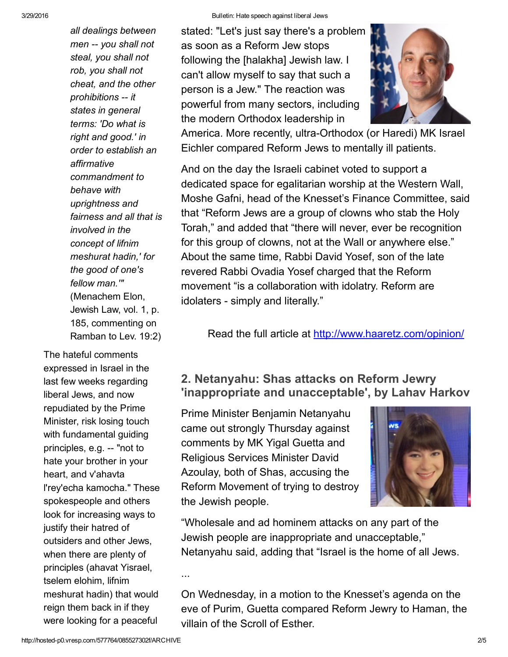*all dealings between men you shall not steal, you shall not rob, you shall not cheat, and the other prohibitions it states in general terms: 'Do what is right and good.' in order to establish an affirmative commandment to behave with uprightness and fairness and all that is involved in the concept of lifnim meshurat hadin,' for the good of one's fellow man.'"* (Menachem Elon, Jewish Law, vol. 1, p. 185, commenting on Ramban to Lev. 19:2)

The hateful comments expressed in Israel in the last few weeks regarding liberal Jews, and now repudiated by the Prime Minister, risk losing touch with fundamental guiding principles, e.g. -- "not to hate your brother in your heart, and v'ahavta l'rey'echa kamocha." These spokespeople and others look for increasing ways to justify their hatred of outsiders and other Jews, when there are plenty of principles (ahavat Yisrael, tselem elohim, lifnim meshurat hadin) that would reign them back in if they were looking for a peaceful

stated: "Let's just say there's a problem as soon as a Reform Jew stops following the [halakha] Jewish law. I can't allow myself to say that such a person is a Jew." The reaction was powerful from many sectors, including the modern Orthodox leadership in



America. More recently, ultra-Orthodox (or Haredi) MK Israel Eichler compared Reform Jews to mentally ill patients.

And on the day the Israeli cabinet voted to support a dedicated space for egalitarian worship at the Western Wall, Moshe Gafni, head of the Knesset's Finance Committee, said that "Reform Jews are a group of clowns who stab the Holy Torah," and added that "there will never, ever be recognition for this group of clowns, not at the Wall or anywhere else." About the same time, Rabbi David Yosef, son of the late revered Rabbi Ovadia Yosef charged that the Reform movement "is a collaboration with idolatry. Reform are idolaters - simply and literally."

Read the full article at [http://www.haaretz.com/opinion/](http://www.haaretz.com/opinion/.premium-1.710885)

#### 2. Netanyahu: Shas attacks on Reform Jewry 'inappropriate and unacceptable', by Lahav Harkov

Prime Minister Benjamin Netanyahu came out strongly Thursday against comments by MK Yigal Guetta and Religious Services Minister David Azoulay, both of Shas, accusing the Reform Movement of trying to destroy the Jewish people.



"Wholesale and ad hominem attacks on any part of the Jewish people are inappropriate and unacceptable," Netanyahu said, adding that "Israel is the home of all Jews.

On Wednesday, in a motion to the Knesset's agenda on the eve of Purim, Guetta compared Reform Jewry to Haman, the villain of the Scroll of Esther.

...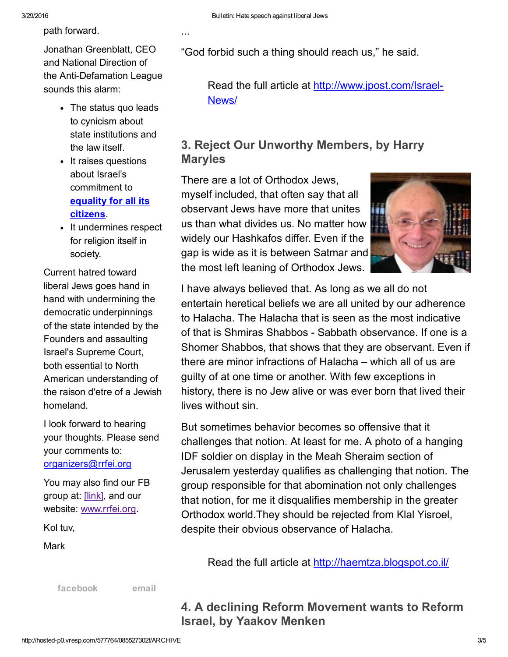path forward.

Jonathan Greenblatt, CEO and National Direction of the Anti-Defamation League sounds this alarm:

- The status quo leads to cynicism about state institutions and the law itself.
- It raises questions about Israel's commitment to equality for all its [citizens.](http://www.mfa.gov.il/mfa/foreignpolicy/peace/guide/pages/declaration%20of%20establishment%20of%20state%20of%20israel.aspx)
- It undermines respect for religion itself in society.

Current hatred toward liberal Jews goes hand in hand with undermining the democratic underpinnings of the state intended by the Founders and assaulting Israel's Supreme Court, both essential to North American understanding of the raison d'etre of a Jewish homeland.

I look forward to hearing your thoughts. Please send your comments to: [organizers@rrfei.org](mailto:organizers@rrfei.org)

You may also find our FB group at: [\[link\],](https://www.facebook.com/groups/132239560451232/) and our website: [www.rrfei.org](http://rrfei.org/).

Kol tuv,

Mark

[facebook](https://www.facebook.com/groups/132239560451232/) [email](mailto:organizers@rrfei.org)

3/29/2016 Bulletin: Hate speech against liberal Jews

...

"God forbid such a thing should reach us," he said.

Read the full article at [http://www.jpost.com/Israel-](http://www.jpost.com/Israel-News/Netanyahu-Shas-attacks-on-Reform-Jewry-inappropriate-and-unacceptable-449086)News/

#### 3. Reject Our Unworthy Members, by Harry Maryles

There are a lot of Orthodox Jews, myself included, that often say that all observant Jews have more that unites us than what divides us. No matter how widely our Hashkafos differ. Even if the gap is wide as it is between Satmar and the most left leaning of Orthodox Jews.



I have always believed that. As long as we all do not entertain heretical beliefs we are all united by our adherence to Halacha. The Halacha that is seen as the most indicative of that is Shmiras Shabbos - Sabbath observance. If one is a Shomer Shabbos, that shows that they are observant. Even if there are minor infractions of Halacha – which all of us are guilty of at one time or another. With few exceptions in history, there is no Jew alive or was ever born that lived their lives without sin.

But sometimes behavior becomes so offensive that it challenges that notion. At least for me. A photo of a hanging IDF soldier on display in the Meah Sheraim section of Jerusalem yesterday qualifies as challenging that notion. The group responsible for that abomination not only challenges that notion, for me it disqualifies membership in the greater Orthodox world.They should be rejected from Klal Yisroel, despite their obvious observance of Halacha.

Read the full article at [http://haemtza.blogspot.co.il/](http://haemtza.blogspot.co.il/2016/03/reject-our-unworthy-members.html)

4. A declining Reform Movement wants to Reform Israel, by Yaakov Menken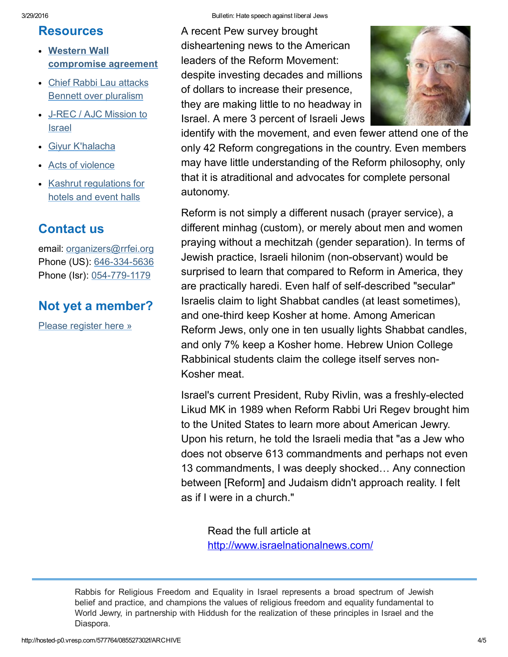#### Resources

- Western Wall [compromise](http://rrfei.org/resources/western-wall-agreement-2016/) agreement
- Chief Rabbi Lau attacks Bennett over [pluralism](http://rrfei.org/resources/chief-rabbi-lau-slams-minister-bennett-winter-2015/)
- JREC / AJC [Mission](http://rrfei.org/resources/ajc-j-rec-mission-to-israel-winter-2015/) to Israel
- Giyur [K'halacha](http://rrfei.org/resources/giyur-khalacha-summer-2015/)
- Acts of [violence](http://rrfei.org/resources/acts-of-violence-summer-2015/)
- Kashrut [regulations](http://rrfei.org/resources/kashrut-regulations-for-hotels-spring-2015/) for hotels and event halls

## Contact us

email: [organizers@rrfei.org](mailto:organizers@rrfei.org) Phone (US): 646-334-5636 Phone (Isr): 054-779-1179

### Not yet a member?

Please [register](http://rrfei.org/about/registration/) here »

A recent Pew survey brought disheartening news to the American leaders of the Reform Movement: despite investing decades and millions of dollars to increase their presence, they are making little to no headway in Israel. A mere 3 percent of Israeli Jews



identify with the movement, and even fewer attend one of the only 42 Reform congregations in the country. Even members may have little understanding of the Reform philosophy, only that it is atraditional and advocates for complete personal autonomy.

Reform is not simply a different nusach (prayer service), a different minhag (custom), or merely about men and women praying without a mechitzah (gender separation). In terms of Jewish practice, Israeli hilonim (non-observant) would be surprised to learn that compared to Reform in America, they are practically haredi. Even half of self-described "secular" Israelis claim to light Shabbat candles (at least sometimes), and one-third keep Kosher at home. Among American Reform Jews, only one in ten usually lights Shabbat candles, and only 7% keep a Kosher home. Hebrew Union College Rabbinical students claim the college itself serves non-Kosher meat.

Israel's current President, Ruby Rivlin, was a freshly-elected Likud MK in 1989 when Reform Rabbi Uri Regev brought him to the United States to learn more about American Jewry. Upon his return, he told the Israeli media that "as a Jew who does not observe 613 commandments and perhaps not even 13 commandments, I was deeply shocked… Any connection between [Reform] and Judaism didn't approach reality. I felt as if I were in a church."

Read the full article at [http://www.israelnationalnews.com/](http://www.israelnationalnews.com/Articles/Article.aspx/18591#.VvkIS-J97IU)

Rabbis for Religious Freedom and Equality in Israel represents a broad spectrum of Jewish belief and practice, and champions the values of religious freedom and equality fundamental to World Jewry, in partnership with Hiddush for the realization of these principles in Israel and the Diaspora.